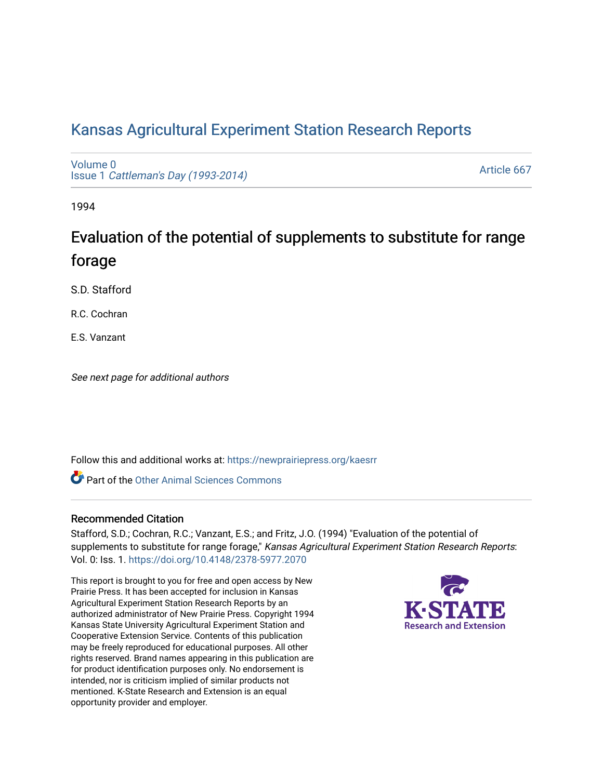# [Kansas Agricultural Experiment Station Research Reports](https://newprairiepress.org/kaesrr)

[Volume 0](https://newprairiepress.org/kaesrr/vol0) Issue 1 [Cattleman's Day \(1993-2014\)](https://newprairiepress.org/kaesrr/vol0/iss1) 

[Article 667](https://newprairiepress.org/kaesrr/vol0/iss1/667) 

1994

# Evaluation of the potential of supplements to substitute for range forage

S.D. Stafford

R.C. Cochran

E.S. Vanzant

See next page for additional authors

Follow this and additional works at: [https://newprairiepress.org/kaesrr](https://newprairiepress.org/kaesrr?utm_source=newprairiepress.org%2Fkaesrr%2Fvol0%2Fiss1%2F667&utm_medium=PDF&utm_campaign=PDFCoverPages) 

**C** Part of the [Other Animal Sciences Commons](http://network.bepress.com/hgg/discipline/82?utm_source=newprairiepress.org%2Fkaesrr%2Fvol0%2Fiss1%2F667&utm_medium=PDF&utm_campaign=PDFCoverPages)

#### Recommended Citation

Stafford, S.D.; Cochran, R.C.; Vanzant, E.S.; and Fritz, J.O. (1994) "Evaluation of the potential of supplements to substitute for range forage," Kansas Agricultural Experiment Station Research Reports: Vol. 0: Iss. 1. <https://doi.org/10.4148/2378-5977.2070>

This report is brought to you for free and open access by New Prairie Press. It has been accepted for inclusion in Kansas Agricultural Experiment Station Research Reports by an authorized administrator of New Prairie Press. Copyright 1994 Kansas State University Agricultural Experiment Station and Cooperative Extension Service. Contents of this publication may be freely reproduced for educational purposes. All other rights reserved. Brand names appearing in this publication are for product identification purposes only. No endorsement is intended, nor is criticism implied of similar products not mentioned. K-State Research and Extension is an equal opportunity provider and employer.

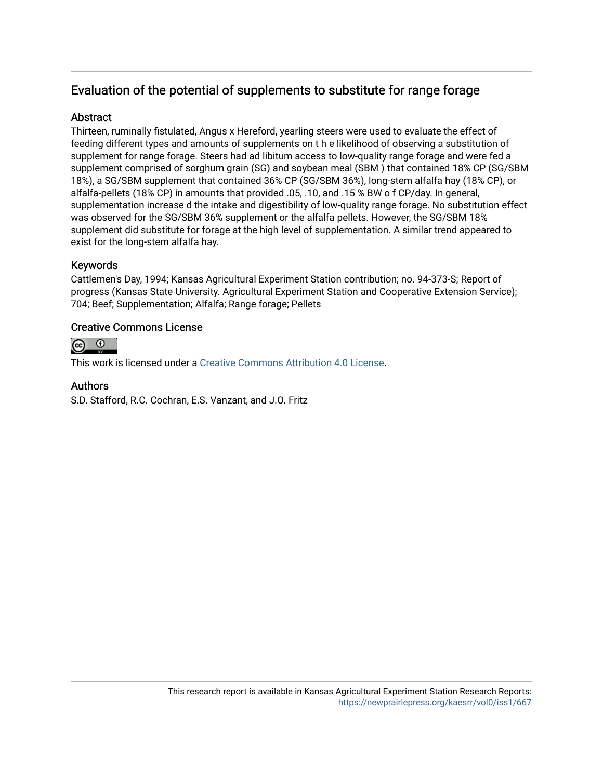## Evaluation of the potential of supplements to substitute for range forage

### **Abstract**

Thirteen, ruminally fistulated, Angus x Hereford, yearling steers were used to evaluate the effect of feeding different types and amounts of supplements on t h e likelihood of observing a substitution of supplement for range forage. Steers had ad libitum access to low-quality range forage and were fed a supplement comprised of sorghum grain (SG) and soybean meal (SBM ) that contained 18% CP (SG/SBM 18%), a SG/SBM supplement that contained 36% CP (SG/SBM 36%), long-stem alfalfa hay (18% CP), or alfalfa-pellets (18% CP) in amounts that provided .05, .10, and .15 % BW o f CP/day. In general, supplementation increase d the intake and digestibility of low-quality range forage. No substitution effect was observed for the SG/SBM 36% supplement or the alfalfa pellets. However, the SG/SBM 18% supplement did substitute for forage at the high level of supplementation. A similar trend appeared to exist for the long-stem alfalfa hay.

## Keywords

Cattlemen's Day, 1994; Kansas Agricultural Experiment Station contribution; no. 94-373-S; Report of progress (Kansas State University. Agricultural Experiment Station and Cooperative Extension Service); 704; Beef; Supplementation; Alfalfa; Range forage; Pellets

#### Creative Commons License



This work is licensed under a [Creative Commons Attribution 4.0 License](https://creativecommons.org/licenses/by/4.0/).

#### Authors

S.D. Stafford, R.C. Cochran, E.S. Vanzant, and J.O. Fritz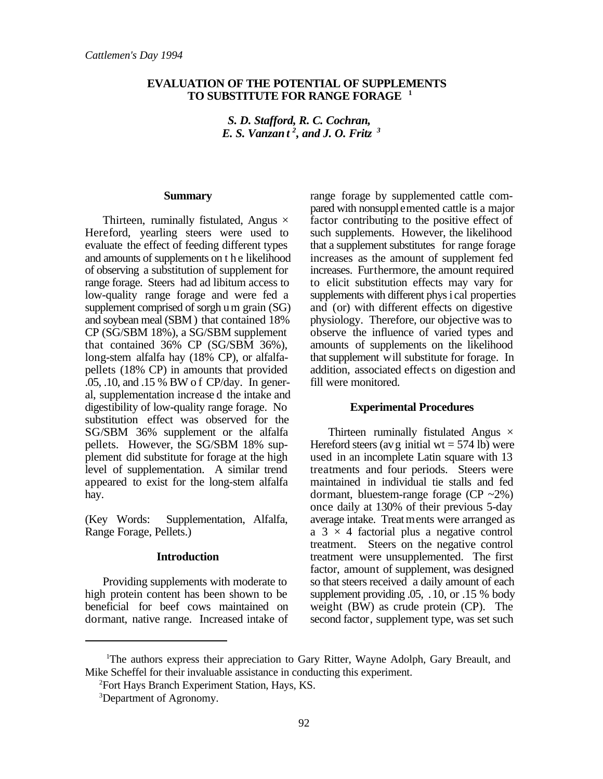#### **EVALUATION OF THE POTENTIAL OF SUPPLEMENTS TO SUBSTITUTE FOR RANGE FORAGE 1**

*S. D. Stafford, R. C. Cochran, E. S. Vanzan t<sup>2</sup>, and J. O. Fritz*<sup>3</sup>

#### **Summary**

Thirteen, ruminally fistulated, Angus  $\times$ Hereford, yearling steers were used to evaluate the effect of feeding different types and amounts of supplements on t h e likelihood of observing a substitution of supplement for range forage. Steers had ad libitum access to low-quality range forage and were fed a supplement comprised of sorgh um grain (SG) and soybean meal (SBM ) that contained 18% CP (SG/SBM 18%), a SG/SBM supplement that contained 36% CP (SG/SBM 36%), long-stem alfalfa hay (18% CP), or alfalfapellets (18% CP) in amounts that provided .05, .10, and .15 % BW o f CP/day. In general, supplementation increase d the intake and digestibility of low-quality range forage. No substitution effect was observed for the SG/SBM 36% supplement or the alfalfa pellets. However, the SG/SBM 18% supplement did substitute for forage at the high level of supplementation. A similar trend appeared to exist for the long-stem alfalfa hay.

(Key Words: Supplementation, Alfalfa, Range Forage, Pellets.)

#### **Introduction**

Providing supplements with moderate to high protein content has been shown to be beneficial for beef cows maintained on dormant, native range. Increased intake of range forage by supplemented cattle compared with nonsupplemented cattle is a major factor contributing to the positive effect of such supplements. However, the likelihood that a supplement substitutes for range forage increases as the amount of supplement fed increases. Furthermore, the amount required to elicit substitution effects may vary for supplements with different phys i cal properties and (or) with different effects on digestive physiology. Therefore, our objective was to observe the influence of varied types and amounts of supplements on the likelihood that supplement will substitute for forage. In addition, associated effects on digestion and fill were monitored.

#### **Experimental Procedures**

Thirteen ruminally fistulated Angus  $\times$ Hereford steers (av g initial wt  $= 574$  lb) were used in an incomplete Latin square with 13 treatments and four periods. Steers were maintained in individual tie stalls and fed dormant, bluestem-range forage  $(CP \sim 2\%)$ once daily at 130% of their previous 5-day average intake. Treatments were arranged as a  $3 \times 4$  factorial plus a negative control treatment. Steers on the negative control treatment were unsupplemented. The first factor, amount of supplement, was designed so that steers received a daily amount of each supplement providing .05, .10, or .15 % body weight (BW) as crude protein (CP). The second factor, supplement type, was set such

<sup>&</sup>lt;sup>1</sup>The authors express their appreciation to Gary Ritter, Wayne Adolph, Gary Breault, and Mike Scheffel for their invaluable assistance in conducting this experiment.

<sup>&</sup>lt;sup>2</sup>Fort Hays Branch Experiment Station, Hays, KS.

<sup>&</sup>lt;sup>3</sup>Department of Agronomy.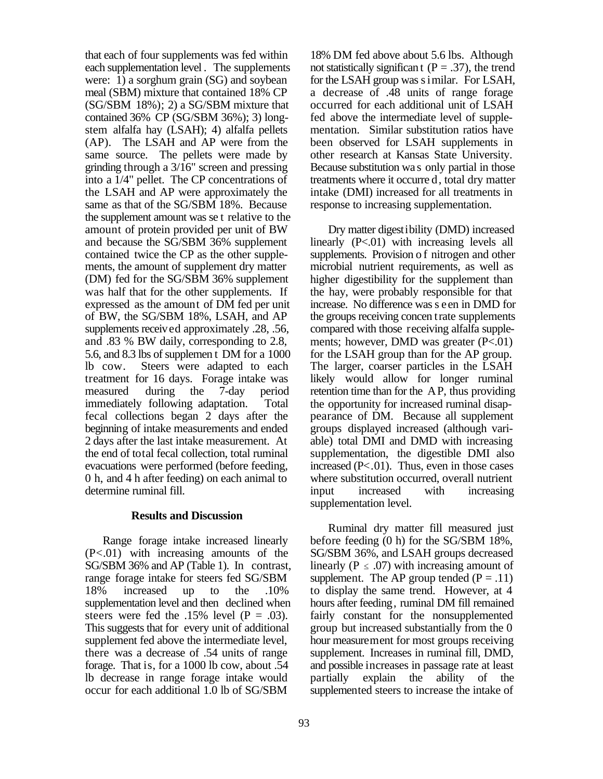that each of four supplements was fed within each supplementation level . The supplements were: 1) a sorghum grain (SG) and soybean meal (SBM) mixture that contained 18% CP (SG/SBM 18%); 2) a SG/SBM mixture that contained 36% CP (SG/SBM 36%); 3) longstem alfalfa hay (LSAH); 4) alfalfa pellets (AP). The LSAH and AP were from the same source. The pellets were made by grinding through a 3/16" screen and pressing into a 1/4" pellet. The CP concentrations of the LSAH and AP were approximately the same as that of the SG/SBM 18%. Because the supplement amount was se t relative to the amount of protein provided per unit of BW and because the SG/SBM 36% supplement contained twice the CP as the other supplements, the amount of supplement dry matter (DM) fed for the SG/SBM 36% supplement was half that for the other supplements. If expressed as the amount of DM fed per unit of BW, the SG/SBM 18%, LSAH, and AP supplements received approximately .28, .56, and .83 % BW daily, corresponding to 2.8, 5.6, and 8.3 lbs of supplemen t DM for a 1000 lb cow. Steers were adapted to each treatment for 16 days. Forage intake was measured during the 7-day period immediately following adaptation. Total fecal collections began 2 days after the beginning of intake measurements and ended 2 days after the last intake measurement. At the end of total fecal collection, total ruminal evacuations were performed (before feeding, 0 h, and 4 h after feeding) on each animal to determine ruminal fill.

#### **Results and Discussion**

Range forage intake increased linearly  $(P<.01)$  with increasing amounts of the SG/SBM 36% and AP (Table 1). In contrast, range forage intake for steers fed SG/SBM<br>18% increased up to the .10% 18% increased up to the .10% supplementation level and then declined when steers were fed the .15% level  $(P = .03)$ . This suggests that for every unit of additional supplement fed above the intermediate level, there was a decrease of .54 units of range forage. That is, for a 1000 lb cow, about .54 lb decrease in range forage intake would occur for each additional 1.0 lb of SG/SBM

18% DM fed above about 5.6 lbs. Although not statistically significan t ( $P = .37$ ), the trend for the LSAH group was s imilar. For LSAH, a decrease of .48 units of range forage occurred for each additional unit of LSAH fed above the intermediate level of supplementation. Similar substitution ratios have been observed for LSAH supplements in other research at Kansas State University. Because substitution wa s only partial in those treatments where it occurre d, total dry matter intake (DMI) increased for all treatments in response to increasing supplementation.

Dry matter digestibility (DMD) increased linearly (P<.01) with increasing levels all supplements. Provision of nitrogen and other microbial nutrient requirements, as well as higher digestibility for the supplement than the hay, were probably responsible for that increase. No difference was s een in DMD for the groups receiving concen trate supplements compared with those receiving alfalfa supplements; however, DMD was greater  $(P<.01)$ for the LSAH group than for the AP group. The larger, coarser particles in the LSAH likely would allow for longer ruminal retention time than for the AP, thus providing the opportunity for increased ruminal disappearance of DM. Because all supplement groups displayed increased (although variable) total DMI and DMD with increasing supplementation, the digestible DMI also increased  $(P<.01)$ . Thus, even in those cases where substitution occurred, overall nutrient input increased with increasing supplementation level.

Ruminal dry matter fill measured just before feeding (0 h) for the SG/SBM 18%, SG/SBM 36%, and LSAH groups decreased linearly ( $P \leq .07$ ) with increasing amount of supplement. The AP group tended  $(P = .11)$ to display the same trend. However, at 4 hours after feeding, ruminal DM fill remained fairly constant for the nonsupplemented group but increased substantially from the 0 hour measurement for most groups receiving supplement. Increases in ruminal fill, DMD, and possible increases in passage rate at least partially explain the ability of the supplemented steers to increase the intake of